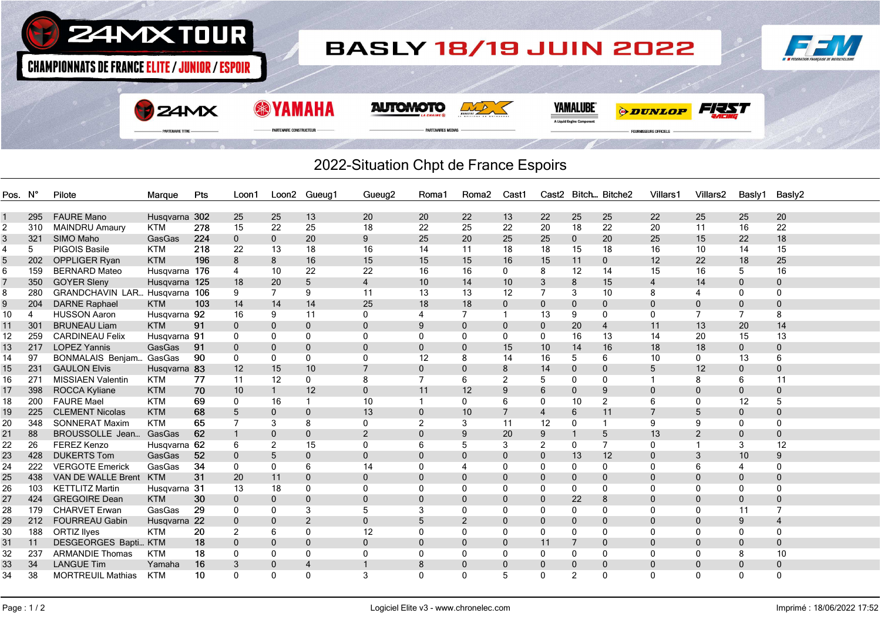

## 2022-Situation Chpt de France Espoirs

| Pos. N° |     | Pilote                           | Marque        | Pts | Loon1          |                | Loon2 Gueug1   | Gueug <sub>2</sub> | Roma1          | Roma <sub>2</sub> | Cast1          |                |                | Cast2 Bitch Bitche2 | Villars1       | Villars <sub>2</sub> | Basly1       | Basly2         |
|---------|-----|----------------------------------|---------------|-----|----------------|----------------|----------------|--------------------|----------------|-------------------|----------------|----------------|----------------|---------------------|----------------|----------------------|--------------|----------------|
|         |     |                                  |               |     |                |                |                |                    |                |                   |                |                |                |                     |                |                      |              |                |
|         | 295 | <b>FAURE Mano</b>                | Husqvarna 302 |     | 25             | 25             | 13             | 20                 | 20             | 22                | 13             | 22             | 25             | 25                  | 22             | 25                   | 25           | 20             |
| 2       | 310 | <b>MAINDRU Amaury</b>            | <b>KTM</b>    | 278 | 15             | 22             | 25             | 18                 | 22             | 25                | 22             | 20             | 18             | 22                  | 20             | 11                   | 16           | 22             |
| 3       | 321 | SIMO Maho                        | GasGas        | 224 | $\mathbf 0$    | $\mathbf{0}$   | 20             | 9                  | 25             | 20                | 25             | 25             | $\mathbf 0$    | 20                  | 25             | 15                   | 22           | 18             |
| 4       | 5   | PIGOIS Basile                    | <b>KTM</b>    | 218 | 22             | 13             | 18             | 16                 | 14             | 11                | 18             | 18             | 15             | 18                  | 16             | 10                   | 14           | 15             |
| 5       | 202 | <b>OPPLIGER Ryan</b>             | <b>KTM</b>    | 196 | 8              | 8              | 16             | 15                 | 15             | 15                | 16             | 15             | 11             | $\overline{0}$      | 12             | 22                   | 18           | 25             |
| 6       | 159 | <b>BERNARD Mateo</b>             | Husqvarna 176 |     | $\overline{4}$ | 10             | 22             | 22                 | 16             | 16                | $\mathbf{0}$   | 8              | 12             | 14                  | 15             | 16                   | 5            | 16             |
|         | 350 | <b>GOYER Sleny</b>               | Husqvarna     | 125 | 18             | 20             | 5 <sup>5</sup> | $\overline{4}$     | 10             | 14                | 10             | 3              | 8              | 15                  | $\overline{4}$ | 14                   | $\mathbf{0}$ | $\mathbf 0$    |
| 8       | 280 | <b>GRANDCHAVIN LAR Husavarna</b> |               | 106 | 9              | $\overline{7}$ | 9              | 11                 | 13             | 13                | 12             | 7              | 3              | 10                  | 8              | 4                    | $\mathbf{0}$ | 0              |
| 9       | 204 | <b>DARNE Raphael</b>             | <b>KTM</b>    | 103 | 14             | 14             | 14             | 25                 | 18             | 18                | $\mathbf{0}$   | $\mathbf 0$    | $\mathbf{0}$   | $\mathbf{0}$        | 0              | $\Omega$             | $\mathbf{0}$ | $\mathbf{0}$   |
| 10      | 4   | <b>HUSSON Aaron</b>              | Husqvarna 92  |     | 16             | 9              | 11             | $\mathbf{0}$       | 4              | 7                 | $\mathbf{1}$   | 13             | 9              | 0                   | $\mathbf{0}$   | $\overline{7}$       | 7            | 8              |
| 11      | 301 | <b>BRUNEAU Liam</b>              | <b>KTM</b>    | 91  | $\mathbf 0$    | $\mathbf{0}$   | $\mathbf 0$    | $\mathbf{0}$       | 9              | $\mathbf{0}$      | $\mathbf{0}$   | $\mathbf{0}$   | 20             | $\overline{4}$      | 11             | 13                   | 20           | 14             |
| 12      | 259 | <b>CARDINEAU Felix</b>           | Husqvarna 91  |     | $\mathbf 0$    | 0              | 0              | 0                  | 0              | $\mathbf{0}$      | $\mathbf{0}$   | 0              | 16             | 13                  | 14             | 20                   | 15           | 13             |
| 13      | 217 | <b>LOPEZ Yannis</b>              | GasGas        | 91  | $\mathbf 0$    | $\mathbf 0$    | $\mathbf 0$    | $\mathbf{0}$       | $\mathbf{0}$   | $\mathbf{0}$      | 15             | 10             | 14             | 16                  | 18             | 18                   | $\mathbf{0}$ | $\mathbf{0}$   |
| 14      | 97  | <b>BONMALAIS Benjam</b>          | GasGas        | 90  | $\mathbf 0$    | 0              | $\mathbf 0$    | 0                  | 12             | 8                 | 14             | 16             | 5              | 6                   | 10             | $\mathbf{0}$         | 13           | 6              |
| 15      | 231 | <b>GAULON Elvis</b>              | Husqvarna 83  |     | 12             | 15             | 10             | $\overline{7}$     | $\mathbf 0$    | $\mathbf{0}$      | 8              | 14             | $\mathbf 0$    | $\mathbf 0$         | 5              | 12                   | $\mathbf{0}$ | $\mathbf 0$    |
| 16      | 271 | <b>MISSIAEN Valentin</b>         | <b>KTM</b>    | 77  | 11             | 12             | $\mathbf 0$    | 8                  | $\overline{7}$ | 6                 | 2              | 5              | $\mathbf{0}$   | 0                   | 1              | 8                    | 6            | 11             |
| 17      | 398 | ROCCA Kyliane                    | <b>KTM</b>    | 70  | 10             | $\mathbf{1}$   | 12             | $\mathbf{0}$       | 11             | 12                | 9              | 6              | $\mathbf{0}$   | 9                   | 0              | $\mathbf{0}$         | $\mathbf{0}$ | $\mathbf{0}$   |
| 18      | 200 | <b>FAURE Mael</b>                | <b>KTM</b>    | 69  | 0              | 16             | $\mathbf{1}$   | 10                 | $\mathbf{1}$   | 0                 | 6              | 0              | 10             | 2                   | 6              | $\Omega$             | 12           | 5              |
| 19      | 225 | <b>CLEMENT Nicolas</b>           | <b>KTM</b>    | 68  | 5              | $\mathbf 0$    | $\pmb{0}$      | 13                 | $\mathbf{0}$   | 10                | $\overline{7}$ | $\overline{4}$ | 6              | 11                  |                | 5                    | $\mathbf{0}$ | $\mathbf 0$    |
| 20      | 348 | <b>SONNERAT Maxim</b>            | <b>KTM</b>    | 65  | $\overline{7}$ | 3              | 8              | $\mathbf{0}$       | $\overline{2}$ | 3                 | 11             | 12             | 0              |                     | 9              | 9                    | $\mathbf{0}$ | 0              |
| 21      | 88  | BROUSSOLLE Jean                  | GasGas        | 62  | $\mathbf{1}$   | $\Omega$       | $\mathbf{0}$   | 2                  | $\Omega$       | 9                 | 20             | 9              | $\mathbf{1}$   | 5                   | 13             | 2                    | $\mathbf{0}$ | $\mathbf{0}$   |
| 22      | 26  | <b>FEREZ Kenzo</b>               | Husqvarna 62  |     | 6              | $\overline{2}$ | 15             | $\mathbf{0}$       | 6              | 5                 | 3              | 2              | 0              | $\overline{7}$      | $\Omega$       |                      | 3            | 12             |
| 23      | 428 | <b>DUKERTS Tom</b>               | GasGas        | 52  | $\mathbf 0$    | 5              | $\mathbf 0$    | $\Omega$           | $\Omega$       | $\Omega$          | $\Omega$       | $\mathbf 0$    | 13             | 12                  | $\Omega$       | 3                    | 10           | 9              |
| 24      | 222 | <b>VERGOTE Emerick</b>           | GasGas        | 34  | 0              | $\Omega$       | 6              | 14                 | 0              |                   | 0              | 0              | 0              | 0                   | $\mathbf 0$    | 6                    | 4            | 0              |
| 25      | 438 | VAN DE WALLE Brent               | <b>KTM</b>    | 31  | 20             | 11             | $\mathbf 0$    | $\mathbf{0}$       | $\Omega$       | $\Omega$          | $\Omega$       | 0              | $\mathbf{0}$   | $\Omega$            | $\Omega$       | $\Omega$             | $\Omega$     | $\mathbf{0}$   |
| 26      | 103 | <b>KETTLITZ Martin</b>           | Husqvarna 31  |     | 13             | 18             | 0              | $\mathbf{0}$       | $\Omega$       | 0                 | 0              | 0              | 0              | $\Omega$            | $\Omega$       | $\Omega$             | 0            | $\Omega$       |
| 27      | 424 | <b>GREGOIRE Dean</b>             | <b>KTM</b>    | 30  | $\mathbf 0$    | $\mathbf{0}$   | $\mathbf{0}$   | $\Omega$           | $\mathbf{0}$   | $\mathbf{0}$      | $\Omega$       | $\mathbf{0}$   | 22             | 8                   | 0              | $\Omega$             | $\mathbf{0}$ | $\mathbf{0}$   |
| 28      | 179 | <b>CHARVET Erwan</b>             | GasGas        | 29  | 0              | 0              | 3              | 5                  | 3              | 0                 | 0              | 0              | 0              | $\Omega$            | $\Omega$       | $\Omega$             | 11           | 7              |
| 29      | 212 | <b>FOURREAU Gabin</b>            | Husqvarna 22  |     | $\mathbf 0$    | $\mathbf 0$    | $\overline{2}$ | $\mathbf{0}$       | 5              | $\overline{2}$    | $\Omega$       | 0              | $\mathbf{0}$   | $\mathbf{0}$        | 0              | $\Omega$             | 9            | $\overline{4}$ |
| 30      | 188 | <b>ORTIZ llyes</b>               | <b>KTM</b>    | 20  | 2              | 6              | 0              | 12                 | 0              | 0                 | $\mathbf{0}$   | 0              | $\mathbf{0}$   | $\mathbf{0}$        | $\mathbf 0$    | 0                    | $\mathbf{0}$ | 0              |
| 31      | 11  | DESGEORGES Bapti KTM             |               | 18  | $\mathbf 0$    | $\mathbf 0$    | $\mathbf 0$    | $\mathbf{0}$       | $\mathbf{0}$   | $\Omega$          | $\Omega$       | 11             | $\overline{7}$ | $\mathbf{0}$        | 0              | $\Omega$             | $\mathbf{0}$ | $\mathbf 0$    |
| 32      | 237 | <b>ARMANDIE Thomas</b>           | <b>KTM</b>    | 18  | 0              | 0              | 0              | $\mathbf{0}$       | $\Omega$       | $\Omega$          | 0              | 0              | $\mathbf{0}$   | 0                   | $\mathbf{0}$   | $\Omega$             | 8            | 10             |
| 33      | 34  | <b>LANGUE Tim</b>                | Yamaha        | 16  | 3              | $\Omega$       | $\overline{4}$ |                    | 8              | 0                 | $\Omega$       | $\mathbf 0$    | $\overline{0}$ | $\mathbf{0}$        | 0              | $\Omega$             | $\mathbf{0}$ | $\mathbf 0$    |
|         |     |                                  | <b>KTM</b>    | 10  | $\mathbf{0}$   | $\mathbf{0}$   |                | 3                  | $\Omega$       | $\Omega$          | 5              |                | $\mathfrak{p}$ | 0                   | $\Omega$       | $\Omega$             | $\mathbf{0}$ | $\Omega$       |
| 34      | 38  | <b>MORTREUIL Mathias</b>         |               |     |                |                | 0              |                    |                |                   |                | 0              |                |                     |                |                      |              |                |